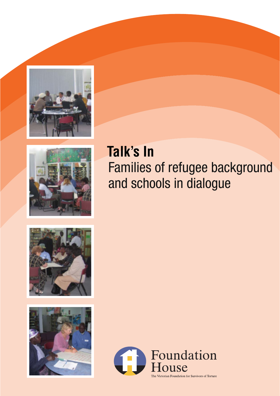



# Families of refugee background and schools in dialogue **Talk's In**





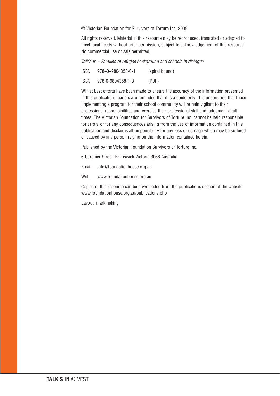© Victorian Foundation for Survivors of Torture Inc. 2009

All rights reserved. Material in this resource may be reproduced, translated or adapted to meet local needs without prior permission, subject to acknowledgement of this resource. No commercial use or sale permitted.

Talk's In – Families of refugee background and schools in dialogue

| <b>ISBN</b> | 978-0-9804358-0-1 | (spiral bound) |
|-------------|-------------------|----------------|
| ISBN        | 978-0-9804358-1-8 | (PDF)          |

Whilst best efforts have been made to ensure the accuracy of the information presented in this publication, readers are reminded that it is a guide only. It is understood that those implementing a program for their school community will remain vigilant to their professional responsibilities and exercise their professional skill and judgement at all times. The Victorian Foundation for Survivors of Torture Inc. cannot be held responsible for errors or for any consequences arising from the use of information contained in this publication and disclaims all responsibility for any loss or damage which may be suffered or caused by any person relying on the information contained herein.

Published by the Victorian Foundation Survivors of Torture Inc.

6 Gardiner Street, Brunswick Victoria 3056 Australia

Email: info@foundationhouse.org.au

Web: www.foundationhouse.org.au

Copies of this resource can be downloaded from the publications section of the website www.foundationhouse.org.au/publications.php

Layout: markmaking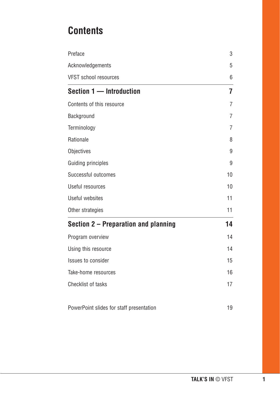# **Contents**

| Preface                                  | 3              |
|------------------------------------------|----------------|
| Acknowledgements                         | 5              |
| <b>VFST school resources</b>             | 6              |
| Section 1 - Introduction                 | 7              |
| Contents of this resource                | 7              |
| Background                               | $\overline{7}$ |
| Terminology                              | $\overline{7}$ |
| Rationale                                | 8              |
| Objectives                               | 9              |
| <b>Guiding principles</b>                | 9              |
| Successful outcomes                      | 10             |
| Useful resources                         | 10             |
| Useful websites                          | 11             |
| Other strategies                         | 11             |
| Section 2 – Preparation and planning     | 14             |
| Program overview                         | 14             |
| Using this resource                      | 14             |
| <b>Issues to consider</b>                | 15             |
| Take-home resources                      | 16             |
| <b>Checklist of tasks</b>                | 17             |
| PowerPoint slides for staff presentation | 19             |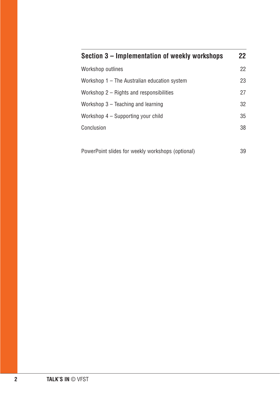| Section 3 – Implementation of weekly workshops    | 22 |
|---------------------------------------------------|----|
| Workshop outlines                                 | 22 |
| Workshop 1 - The Australian education system      | 23 |
| Workshop $2 -$ Rights and responsibilities        | 27 |
| Workshop $3$ – Teaching and learning              | 32 |
| Workshop 4 – Supporting your child                | 35 |
| Conclusion                                        | 38 |
|                                                   |    |
| PowerPoint slides for weekly workshops (optional) | 39 |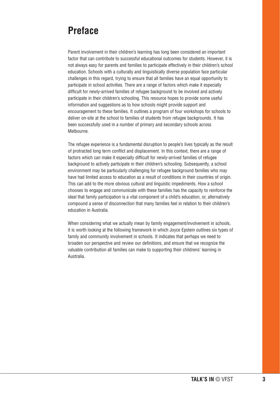# **Preface**

Parent involvement in their children's learning has long been considered an important factor that can contribute to successful educational outcomes for students. However, it is not always easy for parents and families to participate effectively in their children's school education. Schools with a culturally and linguistically diverse population face particular challenges in this regard, trying to ensure that all families have an equal opportunity to participate in school activities. There are a range of factors which make it especially difficult for newly-arrived families of refugee background to be involved and actively participate in their children's schooling. This resource hopes to provide some useful information and suggestions as to how schools might provide support and encouragement to these families. It outlines a program of four workshops for schools to deliver on-site at the school to families of students from refugee backgrounds. It has been successfully used in a number of primary and secondary schools across Melbourne.

The refugee experience is a fundamental disruption to people's lives typically as the result of protracted long term conflict and displacement. In this context, there are a range of factors which can make it especially difficult for newly-arrived families of refugee background to actively participate in their children's schooling. Subsequently, a school environment may be particularly challenging for refugee background families who may have had limited access to education as a result of conditions in their countries of origin. This can add to the more obvious cultural and linguistic impediments. How a school chooses to engage and communicate with these families has the capacity to reinforce the ideal that family participation is a vital component of a child's education, or, alternatively compound a sense of disconnection that many families feel in relation to their children's education in Australia.

When considering what we actually mean by family engagement/involvement in schools, it is worth looking at the following framework in which Joyce Epstein outlines six types of family and community involvement in schools. It indicates that perhaps we need to broaden our perspective and review our definitions, and ensure that we recognize the valuable contribution all families can make to supporting their childrens' learning in Australia.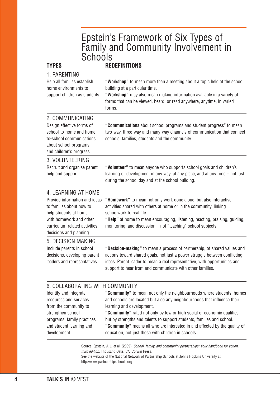# Epstein's Framework of Six Types of Family and Community Involvement in **Schools**

| <b>TYPES</b>                                                                                                                                                                                     | <b>REDEFINITIONS</b>                                                                                                                                                                                                                                                                                               |
|--------------------------------------------------------------------------------------------------------------------------------------------------------------------------------------------------|--------------------------------------------------------------------------------------------------------------------------------------------------------------------------------------------------------------------------------------------------------------------------------------------------------------------|
| 1. PARENTING<br>Help all families establish<br>home environments to<br>support children as students                                                                                              | "Workshop" to mean more than a meeting about a topic held at the school<br>building at a particular time.<br>"Workshop" may also mean making information available in a variety of<br>forms that can be viewed, heard, or read anywhere, anytime, in varied<br>forms.                                              |
| 2. COMMUNICATING<br>Design effective forms of<br>school-to-home and home-<br>to-school communications<br>about school programs<br>and children's progress                                        | "Communications about school programs and student progress" to mean<br>two-way, three-way and many-way channels of communication that connect<br>schools, families, students and the community.                                                                                                                    |
| 3. VOLUNTEERING<br>Recruit and organise parent<br>help and support                                                                                                                               | "Volunteer" to mean anyone who supports school goals and children's<br>learning or development in any way, at any place, and at any time - not just<br>during the school day and at the school building.                                                                                                           |
| 4. LEARNING AT HOME<br>Provide information and ideas<br>to families about how to<br>help students at home<br>with homework and other<br>curriculum related activities,<br>decisions and planning | "Homework" to mean not only work done alone, but also interactive<br>activities shared with others at home or in the community, linking<br>schoolwork to real life.<br>"Help" at home to mean encouraging, listening, reacting, praising, guiding,<br>monitoring, and discussion - not "teaching" school subjects. |
| 5. DECISION MAKING<br>Include parents in school<br>decisions, developing parent<br>leaders and representatives                                                                                   | "Decision-making" to mean a process of partnership, of shared values and<br>actions toward shared goals, not just a power struggle between conflicting<br>ideas. Parent leader to mean a real representative, with opportunities and<br>support to hear from and communicate with other families.                  |
| 6. COLLABORATING WITH COMMUNITY<br>Identify and integrate<br>resources and services<br>from the community to<br>strengthen school                                                                | "Community" to mean not only the neighbourhoods where students' homes<br>and schools are located but also any neighbourhoods that influence their<br>learning and development.<br>"Community" rated not only by low or high social or economic qualities,                                                          |

**"Community"** rated not only by low or high social or economic qualities, but by strengths and talents to support students, families and school. **"Community"** means all who are interested in and affected by the quality of education, not just those with children in schools.

Source: Epstein, J. L. et al. (2009). School, family, and community partnerships: Your handbook for action, third edition. Thousand Oaks, CA: Corwin Press.

See the website of the National Network of Partnership Schools at Johns Hopkins University at http://www.partnershipschools.org

programs, family practices and student learning and

development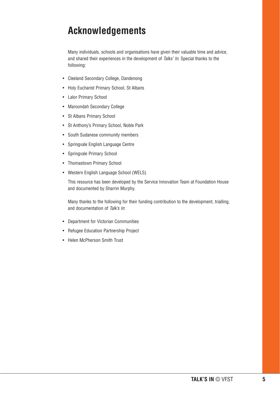# **Acknowledgements**

Many individuals, schools and organisations have given their valuable time and advice, and shared their experiences in the development of Talks' In. Special thanks to the following:

- Cleeland Secondary College, Dandenong
- Holy Eucharist Primary School, St Albans
- Lalor Primary School
- Maroondah Secondary College
- St Albans Primary School
- St Anthony's Primary School, Noble Park
- South Sudanese community members
- Springvale English Language Centre
- Springvale Primary School
- Thomastown Primary School
- Western English Language School (WELS)

This resource has been developed by the Service Innovation Team at Foundation House and documented by Sharrin Murphy.

Many thanks to the following for their funding contribution to the development, trialling, and documentation of Talk's In:

- Department for Victorian Communities
- Refugee Education Partnership Project
- Helen McPherson Smith Trust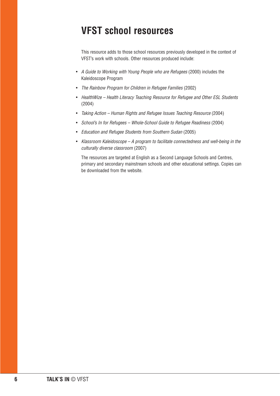# **VFST school resources**

This resource adds to those school resources previously developed in the context of VFST's work with schools. Other resources produced include:

- A Guide to Working with Young People who are Refugees (2000) includes the Kaleidoscope Program
- The Rainbow Program for Children in Refugee Families (2002)
- HealthWize Health Literacy Teaching Resource for Refugee and Other ESL Students (2004)
- Taking Action Human Rights and Refugee Issues Teaching Resource (2004)
- School's In for Refugees Whole-School Guide to Refugee Readiness (2004)
- Education and Refugee Students from Southern Sudan (2005)
- Klassroom Kaleidoscope A program to facilitate connectedness and well-being in the culturally diverse classroom (2007)

The resources are targeted at English as a Second Language Schools and Centres, primary and secondary mainstream schools and other educational settings. Copies can be downloaded from the website.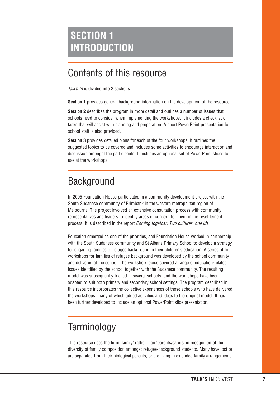# Contents of this resource

Talk's In is divided into 3 sections.

**Section 1** provides general background information on the development of the resource.

**Section 2** describes the program in more detail and outlines a number of issues that schools need to consider when implementing the workshops. It includes a checklist of tasks that will assist with planning and preparation. A short PowerPoint presentation for school staff is also provided.

**Section 3** provides detailed plans for each of the four workshops. It outlines the suggested topics to be covered and includes some activities to encourage interaction and discussion amongst the participants. It includes an optional set of PowerPoint slides to use at the workshops.

# **Background**

In 2005 Foundation House participated in a community development project with the South Sudanese community of Brimbank in the western metropolitan region of Melbourne. The project involved an extensive consultation process with community representatives and leaders to identify areas of concern for them in the resettlement process. It is described in the report Coming together: Two cultures, one life.

Education emerged as one of the priorities, and Foundation House worked in partnership with the South Sudanese community and St Albans Primary School to develop a strategy for engaging families of refugee background in their children's education. A series of four workshops for families of refugee background was developed by the school community and delivered at the school. The workshop topics covered a range of education-related issues identified by the school together with the Sudanese community. The resulting model was subsequently trialled in several schools, and the workshops have been adapted to suit both primary and secondary school settings. The program described in this resource incorporates the collective experiences of those schools who have delivered the workshops, many of which added activities and ideas to the original model. It has been further developed to include an optional PowerPoint slide presentation.

# **Terminology**

This resource uses the term 'family' rather than 'parents/carers' in recognition of the diversity of family composition amongst refugee-background students. Many have lost or are separated from their biological parents, or are living in extended family arrangements.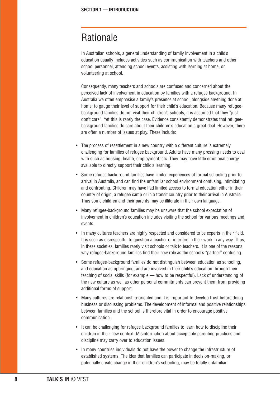# Rationale

In Australian schools, a general understanding of family involvement in a child's education usually includes activities such as communication with teachers and other school personnel, attending school events, assisting with learning at home, or volunteering at school.

Consequently, many teachers and schools are confused and concerned about the perceived lack of involvement in education by families with a refugee background. In Australia we often emphasise a family's presence at school, alongside anything done at home, to gauge their level of support for their child's education. Because many refugeebackground families do not visit their children's schools, it is assumed that they "just don't care". Yet this is rarely the case. Evidence consistently demonstrates that refugeebackground families do care about their children's education a great deal. However, there are often a number of issues at play. These include:

- The process of resettlement in a new country with a different culture is extremely challenging for families of refugee background. Adults have many pressing needs to deal with such as housing, health, employment, etc. They may have little emotional energy available to directly support their child's learning.
- Some refugee background families have limited experiences of formal schooling prior to arrival in Australia, and can find the unfamiliar school environment confusing, intimidating and confronting. Children may have had limited access to formal education either in their country of origin, a refugee camp or in a transit country prior to their arrival in Australia. Thus some children and their parents may be illiterate in their own language.
- Many refugee-background families may be unaware that the school expectation of involvement in children's education includes visiting the school for various meetings and events.
- In many cultures teachers are highly respected and considered to be experts in their field. It is seen as disrespectful to question a teacher or interfere in their work in any way. Thus, in these societies, families rarely visit schools or talk to teachers. It is one of the reasons why refugee-background families find their new role as the school's "partner" confusing.
- Some refugee-background families do not distinguish between education as schooling, and education as upbringing, and are involved in their child's education through their teaching of social skills (for example — how to be respectful). Lack of understanding of the new culture as well as other personal commitments can prevent them from providing additional forms of support.
- Many cultures are relationship-oriented and it is important to develop trust before doing business or discussing problems. The development of informal and positive relationships between families and the school is therefore vital in order to encourage positive communication.
- It can be challenging for refugee-background families to learn how to discipline their children in their new context. Misinformation about acceptable parenting practices and discipline may carry over to education issues.
- In many countries individuals do not have the power to change the infrastructure of established systems. The idea that families can participate in decision-making, or potentially create change in their children's schooling, may be totally unfamiliar.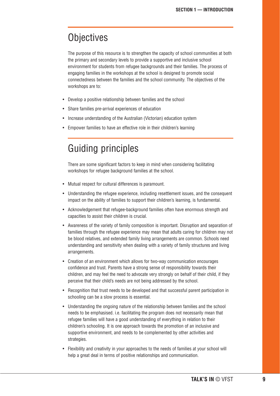# **Objectives**

The purpose of this resource is to strengthen the capacity of school communities at both the primary and secondary levels to provide a supportive and inclusive school environment for students from refugee backgrounds and their families. The process of engaging families in the workshops at the school is designed to promote social connectedness between the families and the school community. The objectives of the workshops are to:

- Develop a positive relationship between families and the school
- Share families pre-arrival experiences of education
- Increase understanding of the Australian (Victorian) education system
- Empower families to have an effective role in their children's learning

# Guiding principles

There are some significant factors to keep in mind when considering facilitating workshops for refugee background families at the school.

- Mutual respect for cultural differences is paramount.
- Understanding the refugee experience, including resettlement issues, and the consequent impact on the ability of families to support their children's learning, is fundamental.
- Acknowledgement that refugee-background families often have enormous strength and capacities to assist their children is crucial.
- Awareness of the variety of family composition is important. Disruption and separation of families through the refugee experience may mean that adults caring for children may not be blood relatives, and extended family living arrangements are common. Schools need understanding and sensitivity when dealing with a variety of family structures and living arrangements.
- Creation of an environment which allows for two-way communication encourages confidence and trust. Parents have a strong sense of responsibility towards their children, and may feel the need to advocate very strongly on behalf of their child, if they perceive that their child's needs are not being addressed by the school.
- Recognition that trust needs to be developed and that successful parent participation in schooling can be a slow process is essential.
- Understanding the ongoing nature of the relationship between families and the school needs to be emphasised. i.e. facilitating the program does not necessarily mean that refugee families will have a good understanding of everything in relation to their children's schooling. It is one approach towards the promotion of an inclusive and supportive environment, and needs to be complemented by other activities and strategies.
- Flexibility and creativity in your approaches to the needs of families at your school will help a great deal in terms of positive relationships and communication.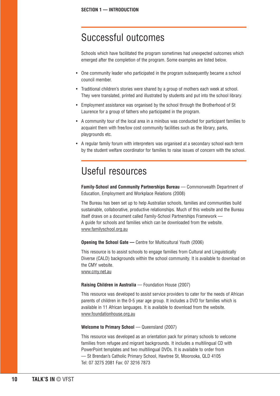# Successful outcomes

Schools which have facilitated the program sometimes had unexpected outcomes which emerged after the completion of the program. Some examples are listed below.

- One community leader who participated in the program subsequently became a school council member.
- Traditional children's stories were shared by a group of mothers each week at school. They were translated, printed and illustrated by students and put into the school library.
- Employment assistance was organised by the school through the Brotherhood of St Laurence for a group of fathers who participated in the program.
- A community tour of the local area in a minibus was conducted for participant families to acquaint them with free/low cost community facilities such as the library, parks, playgrounds etc.
- A regular family forum with interpreters was organised at a secondary school each term by the student welfare coordinator for families to raise issues of concern with the school.

# Useful resources

**Family-School and Community Partnerships Bureau** — Commonwealth Department of Education, Employment and Workplace Relations (2008)

The Bureau has been set up to help Australian schools, families and communities build sustainable, collaborative, productive relationships. Much of this website and the Bureau itself draws on a document called Family-School Partnerships Framework — A guide for schools and families which can be downloaded from the website. www.familyschool.org.au

**Opening the School Gate — Centre for Multicultural Youth (2006)** 

This resource is to assist schools to engage families from Cultural and Linguistically Diverse (CALD) backgrounds within the school community. It is available to download on the CMY website.

www.cmy.net.au

#### **Raising Children in Australia** — Foundation House (2007)

This resource was developed to assist service providers to cater for the needs of African parents of children in the 0-5 year age group. It includes a DVD for families which is available in 11 African languages. It is available to download from the website. www.foundationhouse.org.au

#### **Welcome to Primary School** — Queensland (2007)

This resource was developed as an orientation pack for primary schools to welcome families from refugee and migrant backgrounds. It includes a multilingual CD with PowerPoint templates and two multilingual DVDs. It is available to order from — St Brendan's Catholic Primary School, Hawtree St, Moorooka, QLD 4105 Tel: 07 3275 2081 Fax: 07 3216 7873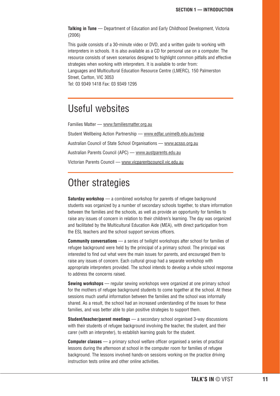**Talking in Tune** — Department of Education and Early Childhood Development, Victoria (2006)

This guide consists of a 30-minute video or DVD, and a written guide to working with interpreters in schools. It is also available as a CD for personal use on a computer. The resource consists of seven scenarios designed to highlight common pitfalls and effective strategies when working with interpreters. It is available to order from:

Languages and Multicultural Education Resource Centre (LMERC), 150 Palmerston Street, Carlton, VIC 3053

Tel: 03 9349 1418 Fax: 03 9349 1295

# Useful websites

Families Matter — www.familiesmatter.org.au Student Wellbeing Action Partnership — www.edfac.unimelb.edu.au/swap Australian Council of State School Organisations — www.acsso.org.au Australian Parents Council (APC) — www.austparents.edu.au Victorian Parents Council — www.vicparentscouncil.vic.edu.au

# Other strategies

**Saturday workshop** — a combined workshop for parents of refugee background students was organized by a number of secondary schools together, to share information between the families and the schools, as well as provide an opportunity for families to raise any issues of concern in relation to their children's learning. The day was organized and facilitated by the Multicultural Education Aide (MEA), with direct participation from the ESL teachers and the school support services officers.

**Community conversations** — a series of twilight workshops after school for families of refugee background were held by the principal of a primary school. The principal was interested to find out what were the main issues for parents, and encouraged them to raise any issues of concern. Each cultural group had a separate workshop with appropriate interpreters provided. The school intends to develop a whole school response to address the concerns raised.

**Sewing workshops** — regular sewing workshops were organized at one primary school for the mothers of refugee background students to come together at the school. At these sessions much useful information between the families and the school was informally shared. As a result, the school had an increased understanding of the issues for these families, and was better able to plan positive strategies to support them.

**Student/teacher/parent meetings** — a secondary school organised 3-way discussions with their students of refugee background involving the teacher, the student, and their carer (with an interpreter), to establish learning goals for the student.

**Computer classes** — a primary school welfare officer organised a series of practical lessons during the afternoon at school in the computer room for families of refugee background. The lessons involved hands-on sessions working on the practice driving instruction tests online and other online activities.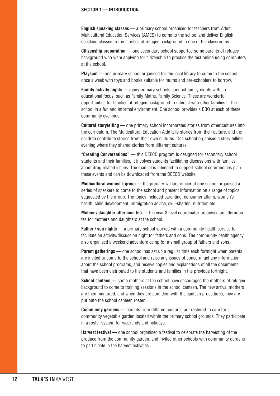#### **SECTION 1 — INTRODUCTION**

**English speaking classes** — a primary school organised for teachers from Adult Multicultural Education Services (AMES) to come to the school and deliver English speaking classes to the families of refugee background in one of the classrooms.

**Citizenship preparation** — one secondary school supported some parents of refugee background who were applying for citizenship to practise the test online using computers at the school.

**Playspot** — one primary school organised for the local library to come to the school once a week with toys and books suitable for mums and pre-schoolers to borrow.

**Family activity nights** — many primary schools conduct family nights with an educational focus, such as Family Maths, Family Science. These are wonderful opportunities for families of refugee background to interact with other families at the school in a fun and informal environment. One school provides a BBQ at each of these community evenings.

**Cultural storytelling** — one primary school incorporates stories from other cultures into the curriculum. The Multicultural Education Aide tells stories from their culture, and the children contribute stories from their own cultures. One school organised a story telling evening where they shared stories from different cultures.

"**Creating Conversations"** — this DEECD program is designed for secondary school students and their families. It involves students facilitating discussions with families about drug related issues. The manual is intended to support school communities plan these events and can be downloaded from the DEECD website.

**Multicultural women's group** — the primary welfare officer at one school organised a series of speakers to come to the school and present information on a range of topics suggested by the group. The topics included parenting, consumer affairs, women's health, child development, immigration advice, skill-sharing, nutrition etc.

**Mother / daughter afternoon tea** — the year 8 level coordinator organised an afternoon tea for mothers and daughters at the school.

**Father / son nights** — a primary school worked with a community health service to facilitate an activity/discussion night for fathers and sons. The community health agency also organised a weekend adventure camp for a small group of fathers and sons.

**Parent gatherings** — one school has set up a regular time each fortnight when parents are invited to come to the school and raise any issues of concern, get any information about the school programs, and receive copies and explanations of all the documents that have been distributed to the students and families in the previous fortnight.

**School canteen** — some mothers at the school have encouraged the mothers of refugee background to come to training sessions in the school canteen. The new arrival mothers are then mentored, and when they are confident with the canteen procedures, they are put onto the school canteen roster.

**Community gardens** — parents from different cultures are rostered to care for a community vegetable garden located within the primary school grounds. They participate in a roster system for weekends and holidays.

**Harvest festival** — one school organised a festival to celebrate the harvesting of the produce from the community garden, and invited other schools with community gardens to participate in the harvest activities.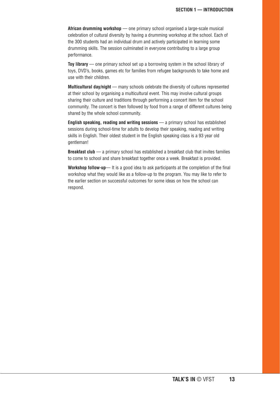African drumming workshop — one primary school organised a large-scale musical celebration of cultural diversity by having a drumming workshop at the school. Each of the 300 students had an individual drum and actively participated in learning some drumming skills. The session culminated in everyone contributing to a large group performance.

**Toy library** — one primary school set up a borrowing system in the school library of toys, DVD's, books, games etc for families from refugee backgrounds to take home and use with their children.

**Multicultural day/night** — many schools celebrate the diversity of cultures represented at their school by organising a multicultural event. This may involve cultural groups sharing their culture and traditions through performing a concert item for the school community. The concert is then followed by food from a range of different cultures being shared by the whole school community.

**English speaking, reading and writing sessions** — a primary school has established sessions during school-time for adults to develop their speaking, reading and writing skills in English. Their oldest student in the English speaking class is a 93 year old gentleman!

**Breakfast club** — a primary school has established a breakfast club that invites families to come to school and share breakfast together once a week. Breakfast is provided.

**Workshop follow-up**— It is a good idea to ask participants at the completion of the final workshop what they would like as a follow-up to the program. You may like to refer to the earlier section on successful outcomes for some ideas on how the school can respond.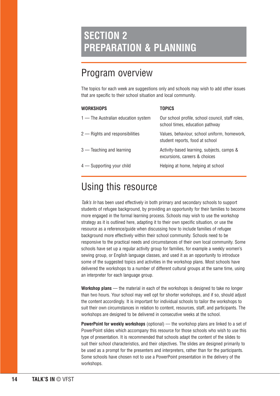# **SECTION 2 PREPARATION & PLANNING**

# Program overview

The topics for each week are suggestions only and schools may wish to add other issues that are specific to their school situation and local community.

| <b>WORKSHOPS</b>                    | <b>TOPICS</b>                                                                       |
|-------------------------------------|-------------------------------------------------------------------------------------|
| 1 — The Australian education system | Our school profile, school council, staff roles,<br>school times, education pathway |
| 2 – Rights and responsibilities     | Values, behaviour, school uniform, homework,<br>student reports, food at school     |
| $3$ — Teaching and learning         | Activity-based learning, subjects, camps &<br>excursions, careers & choices         |
| 4 — Supporting your child           | Helping at home, helping at school                                                  |

# Using this resource

Talk's In has been used effectively in both primary and secondary schools to support students of refugee background, by providing an opportunity for their families to become more engaged in the formal learning process. Schools may wish to use the workshop strategy as it is outlined here, adapting it to their own specific situation, or use the resource as a reference/guide when discussing how to include families of refugee background more effectively within their school community. Schools need to be responsive to the practical needs and circumstances of their own local community. Some schools have set up a regular activity group for families, for example a weekly women's sewing group, or English language classes, and used it as an opportunity to introduce some of the suggested topics and activities in the workshop plans. Most schools have delivered the workshops to a number of different cultural groups at the same time, using an interpreter for each language group.

**Workshop plans** — the material in each of the workshops is designed to take no longer than two hours. Your school may well opt for shorter workshops, and if so, should adjust the content accordingly. It is important for individual schools to tailor the workshops to suit their own circumstances in relation to content, resources, staff, and participants. The workshops are designed to be delivered in consecutive weeks at the school.

**PowerPoint for weekly workshops** (optional) — the workshop plans are linked to a set of PowerPoint slides which accompany this resource for those schools who wish to use this type of presentation. It is recommended that schools adapt the content of the slides to suit their school characteristics, and their objectives. The slides are designed primarily to be used as a prompt for the presenters and interpreters, rather than for the participants. Some schools have chosen not to use a PowerPoint presentation in the delivery of the workshops.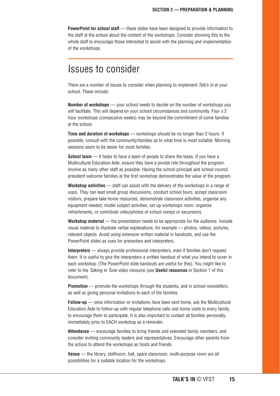**PowerPoint for school staff** — these slides have been designed to provide information to the staff at the school about the content of the workshops. Consider showing this to the whole staff to encourage those interested to assist with the planning and implementation of the workshops.

# Issues to consider

There are a number of issues to consider when planning to implement Talk's In at your school. These include:

**Number of workshops** — your school needs to decide on the number of workshops you will facilitate. This will depend on your school circumstances and community. Four x 2 hour workshops (consecutive weeks) may be beyond the commitment of some families at the school.

**Time and duration of workshops** — workshops should be no longer than 2 hours. If possible, consult with the community/families as to what time is most suitable. Morning sessions seem to be easier for most families.

**School team** — it helps to have a team of people to share the tasks. If you have a Multicultural Education Aide, ensure they have a pivotal role throughout the program. Involve as many other staff as possible. Having the school principal and school council president welcome families at the first workshop demonstrates the value of the program.

**Workshop activities** — staff can assist with the delivery of the workshops in a range of ways. They can lead small group discussions, conduct school tours, accept classroom visitors, prepare take-home resources, demonstrate classroom activities, organise any equipment needed, model subject activities, set up workshops room, organise refreshments, or contribute video/photos of school camps or excursions.

**Workshop material** — the presentation needs to be appropriate for the audience. Include visual material to illustrate verbal explanations, for example — photos, videos, pictures, relevant objects. Avoid using extensive written material in handouts, and use the PowerPoint slides as cues for presenters and interpreters.

**Interpreters** — always provide professional interpreters, even if families don't request them. It is useful to give the interpreters a written handout of what you intend to cover in each workshop. (The PowerPoint slide handouts are useful for this). You might like to refer to the Talking in Tune video resource (see **Useful resources** in Section 1 of this document).

**Promotion** — promote the workshops through the students, and in school newsletters, as well as giving personal invitations to each of the families.

**Follow-up** — once information or invitations have been sent home, ask the Multicultural Education Aide to follow-up with regular telephone calls and home visits to every family, to encourage them to participate. It is also important to contact all families personally, immediately prior to EACH workshop as a reminder.

**Attendance** — encourage families to bring friends and extended family members, and consider inviting community leaders and representatives. Encourage other parents from the school to attend the workshops as hosts and friends.

**Venue** — the library, staffroom, hall, spare classroom, multi-purpose room are all possibilities for a suitable location for the workshops.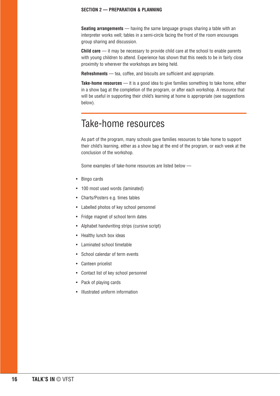#### **SECTION 2 — PREPARATION & PLANNING**

**Seating arrangements** — having the same language groups sharing a table with an interpreter works well; tables in a semi-circle facing the front of the room encourages group sharing and discussion.

**Child care** — it may be necessary to provide child care at the school to enable parents with young children to attend. Experience has shown that this needs to be in fairly close proximity to wherever the workshops are being held.

**Refreshments** — tea, coffee, and biscuits are sufficient and appropriate.

**Take-home resources** — it is a good idea to give families something to take home, either in a show bag at the completion of the program, or after each workshop. A resource that will be useful in supporting their child's learning at home is appropriate (see suggestions below).

# Take-home resources

As part of the program, many schools gave families resources to take home to support their child's learning, either as a show bag at the end of the program, or each week at the conclusion of the workshop.

Some examples of take-home resources are listed below —

- Bingo cards
- 100 most used words (laminated)
- Charts/Posters e.g. times tables
- Labelled photos of key school personnel
- Fridge magnet of school term dates
- Alphabet handwriting strips (cursive script)
- Healthy lunch box ideas
- Laminated school timetable
- School calendar of term events
- Canteen pricelist
- Contact list of key school personnel
- Pack of playing cards
- Illustrated uniform information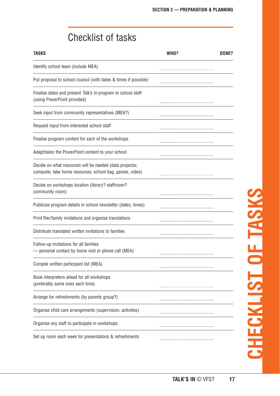# Checklist of tasks

| <b>TASKS</b>                                                                                                         | WHO? | DONE? |
|----------------------------------------------------------------------------------------------------------------------|------|-------|
| Identify school team (include MEA)                                                                                   |      |       |
| Put proposal to school council (with dates & times if possible)                                                      |      |       |
| Finalise dates and present Talk's In program to school staff<br>(using PowerPoint provided)                          |      |       |
| Seek input from community representatives (MEA?)                                                                     |      |       |
| Request input from interested school staff                                                                           |      |       |
| Finalise program content for each of the workshops                                                                   |      |       |
| Adapt/tailor the PowerPoint content to your school                                                                   |      |       |
| Decide on what resources will be needed (data projector,<br>computer, take home resources, school bag, games, video) |      |       |
| Decide on workshops location (library? staffroom?<br>community room)                                                 |      |       |
| Publicise program details in school newsletter (dates, times)                                                        |      |       |
| Print flier/family invitations and organise translations                                                             |      |       |
| Distribute translated written invitations to families                                                                |      |       |
| Follow-up invitations for all families<br>personal contact by home visit or phone call (MEA)                         |      |       |
| Compile written participant list (MEA)                                                                               |      |       |
| Book interpreters ahead for all workshops<br>(preferably same ones each time)                                        |      |       |
| Arrange for refreshments (by parents group?)                                                                         |      |       |
| Organise child care arrangements (supervision, activities)                                                           |      |       |
| Organise any staff to participate in workshops                                                                       |      |       |
| Set up room each week for presentations & refreshments                                                               |      |       |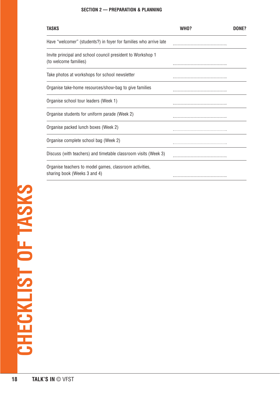#### **SECTION 2 — PREPARATION & PLANNING**

| <b>TASKS</b>                                                                            | WHO? | DONE? |
|-----------------------------------------------------------------------------------------|------|-------|
| Have "welcomer" (students?) in foyer for families who arrive late                       |      |       |
| Invite principal and school council president to Workshop 1<br>(to welcome families)    |      |       |
| Take photos at workshops for school newsletter                                          |      |       |
| Organise take-home resources/show-bag to give families                                  |      |       |
| Organise school tour leaders (Week 1)                                                   |      |       |
| Organise students for uniform parade (Week 2)                                           |      |       |
| Organise packed lunch boxes (Week 2)                                                    |      |       |
| Organise complete school bag (Week 2)                                                   |      |       |
| Discuss (with teachers) and timetable classroom visits (Week 3)                         |      |       |
| Organise teachers to model games, classroom activities,<br>sharing book (Weeks 3 and 4) |      |       |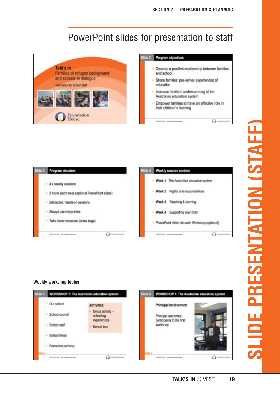# PowerPoint slides for presentation to staff



| de 2 | Program objectives                                                           |  |
|------|------------------------------------------------------------------------------|--|
|      | Develop a positive relationship between families<br>and school               |  |
|      | Share families' pre-arrival experiences of<br>education                      |  |
|      | · Increase families' understanding of the<br>Australian education system     |  |
|      | · Empower families to have an effective role in<br>their children's learning |  |
|      |                                                                              |  |



#### Weekly workshop topics



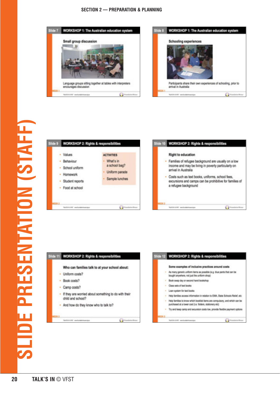#### **SECTION 2 - PREPARATION & PLANNING**









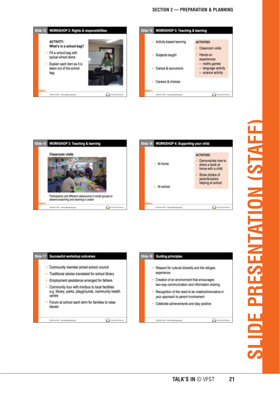#### **SECTION 2 - PREPARATION & PLANNING**



| Slide 15 WORKSHOP 3: Teaching & learning                                                              |  |
|-------------------------------------------------------------------------------------------------------|--|
| Classroom visits                                                                                      |  |
|                                                                                                       |  |
|                                                                                                       |  |
| Participants visit different classrooms in small groups to<br>observe teaching and learning in action |  |
| TAXTER EVER was horizontecommuni-                                                                     |  |







WORKERT embroidments

**C** Fondation Boys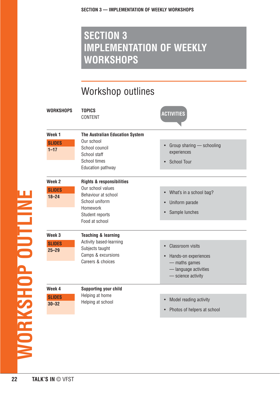# Workshop outlines

| <b>WORKSHOPS</b>                                | <b>TOPICS</b><br>CONTENT                                                                                                                            | <b>ACTIVITIES</b>                                                                                                              |
|-------------------------------------------------|-----------------------------------------------------------------------------------------------------------------------------------------------------|--------------------------------------------------------------------------------------------------------------------------------|
| Week <sub>1</sub><br><b>SLIDES</b><br>$1 - 17$  | The Australian Education System<br>Our school<br>School council<br>School staff<br>School times<br><b>Education pathway</b>                         | Group sharing - schooling<br>$\bullet$<br>experiences<br><b>School Tour</b><br>$\bullet$                                       |
| Week <sub>2</sub><br><b>SLIDES</b><br>$18 - 24$ | <b>Rights &amp; responsibilities</b><br>Our school values<br>Behaviour at school<br>School uniform<br>Homework<br>Student reports<br>Food at school | • What's in a school bag?<br>Uniform parade<br>$\bullet$<br>Sample lunches<br>$\bullet$                                        |
| Week <sub>3</sub><br><b>SLIDES</b><br>$25 - 29$ | <b>Teaching &amp; learning</b><br>Activity based-learning<br>Subjects taught<br>Camps & excursions<br>Careers & choices                             | <b>Classroom visits</b><br>$\bullet$<br>• Hands-on experiences<br>- maths games<br>- language activities<br>- science activity |
| Week 4<br><b>SLIDES</b><br>$30 - 32$            | <b>Supporting your child</b><br>Helping at home<br>Helping at school                                                                                | Model reading activity<br>$\bullet$<br>Photos of helpers at school<br>$\bullet$                                                |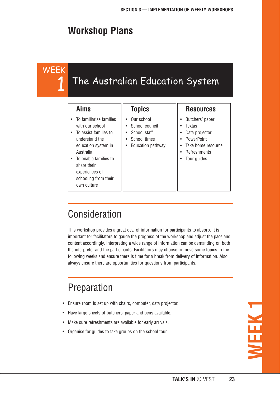# **Workshop Plans**

WEEK

1

# The Australian Education System

#### **Aims**

Australia

own culture

• To familiarise families with our school • To assist families to understand the education system in

• To enable families to share their experiences of schooling from their

#### **Topics**

- Our school
- School council
- School staff
- School times
- Education pathway

#### **Resources**

- Butchers' paper
- Textas
- Data projector
- PowerPoint
- Take home resource
- **Refreshments**
- Tour guides

# Consideration

This workshop provides a great deal of information for participants to absorb. It is important for facilitators to gauge the progress of the workshop and adjust the pace and content accordingly. Interpreting a wide range of information can be demanding on both the interpreter and the participants. Facilitators may choose to move some topics to the following weeks and ensure there is time for a break from delivery of information. Also always ensure there are opportunities for questions from participants.

# Preparation

- Ensure room is set up with chairs, computer, data projector.
- Have large sheets of butchers' paper and pens available.
- Make sure refreshments are available for early arrivals.
- Organise for guides to take groups on the school tour.

**WEEK 1**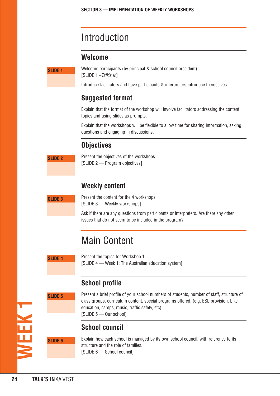# Introduction

#### **Welcome**

**SLIDE 1**

Welcome participants (by principal & school council president) [SLIDE 1-Talk's In]

Introduce facilitators and have participants & interpreters introduce themselves.

#### **Suggested format**

Explain that the format of the workshop will involve facilitators addressing the content topics and using slides as prompts.

Explain that the workshops will be flexible to allow time for sharing information, asking questions and engaging in discussions.

#### **Objectives**

Present the objectives of the workshops [SLIDE 2 — Program objectives]

#### **Weekly content**

**SLIDE 3**

**SLIDE 2**

Present the content for the 4 workshops. [SLIDE 3 — Weekly workshops]

Ask if there are any questions from participants or interpreters. Are there any other issues that do not seem to be included in the program?

# Main Content

**SLIDE 4**

**SLIDE 5**

Present the topics for Workshop 1 [SLIDE 4 — Week 1: The Australian education system]

#### **School profile**

**WEEK 1**

Present a brief profile of your school numbers of students, number of staff, structure of class groups, curriculum content, special programs offered, (e.g. ESL provision, bike education, camps, music, traffic safety, etc). [SLIDE 5 — Our school]

#### **School council**

**SLIDE 6**

Explain how each school is managed by its own school council, with reference to its structure and the role of families. [SLIDE 6 – School council]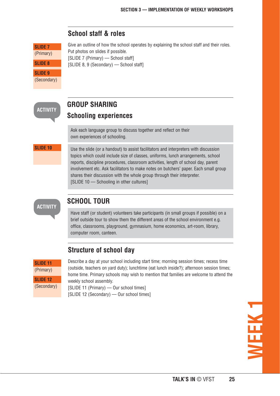

#### **School staff & roles**

Give an outline of how the school operates by explaining the school staff and their roles. Put photos on slides if possible. [SLIDE 7 (Primary) — School staff] [SLIDE 8, 9 (Secondary) - School staff]

Ask each language group to discuss together and reflect on their

**SLIDE 10**

**SLIDE 7** (Primary)

**SLIDE 8**

Use the slide (or a handout) to assist facilitators and interpreters with discussion topics which could include size of classes, uniforms, lunch arrangements, school reports, discipline procedures, classroom activities, length of school day, parent involvement etc. Ask facilitators to make notes on butchers' paper. Each small group shares their discussion with the whole group through their interpreter.

#### **ACTIVITY**

Have staff (or student) volunteers take participants (in small groups if possible) on a brief outside tour to show them the different areas of the school environment e.g. office, classrooms, playground, gymnasium, home economics, art-room, library,

| <b>SLIDE 11</b> |
|-----------------|
| (Primary)       |
| <b>SLIDE 12</b> |
| (Secondary)     |

Describe a day at your school including start time; morning session times; recess time (outside, teachers on yard duty); lunchtime (eat lunch inside?); afternoon session times; home time. Primary schools may wish to mention that families are welcome to attend the weekly school assembly.

[SLIDE 11 (Primary) — Our school times] [SLIDE 12 (Secondary) — Our school times]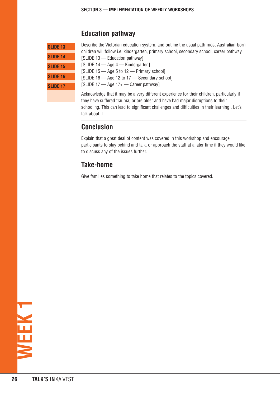#### **Education pathway**

| <b>SLIDE 13</b> |
|-----------------|
| <b>SLIDE 14</b> |
| <b>SLIDE 15</b> |
| <b>SLIDE 16</b> |
| <b>SLIDE 17</b> |
|                 |

Describe the Victorian education system, and outline the usual path most Australian-born children will follow i.e. kindergarten, primary school, secondary school, career pathway.

[SLIDE 13 — Education pathway]

[SLIDE 14 — Age 4 — Kindergarten]

[SLIDE 15 - Age 5 to 12 - Primary school]

[SLIDE 16 - Age 12 to 17 - Secondary school]

[SLIDE 17 — Age 17+ — Career pathway]

Acknowledge that it may be a very different experience for their children, particularly if they have suffered trauma, or are older and have had major disruptions to their schooling. This can lead to significant challenges and difficulties in their learning . Let's talk about it.

#### **Conclusion**

Explain that a great deal of content was covered in this workshop and encourage participants to stay behind and talk, or approach the staff at a later time if they would like to discuss any of the issues further.

#### **Take-home**

Give families something to take home that relates to the topics covered.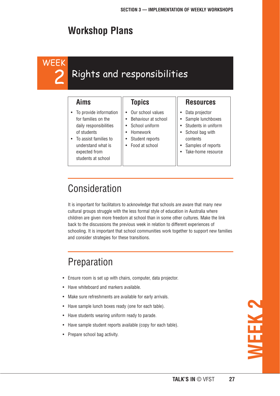# **Workshop Plans**

# WEEK 2

# Rights and responsibilities

#### **Aims**

- To provide information for families on the daily responsibilities of students
- To assist families to understand what is expected from students at school

#### **Topics**

- Our school values
- Behaviour at school
- School uniform
- Homework
- Student reports
- Food at school

#### **Resources**

- Data projector
- Sample lunchboxes
- Students in uniform
- School bag with contents
- Samples of reports
- Take-home resource

# Consideration

It is important for facilitators to acknowledge that schools are aware that many new cultural groups struggle with the less formal style of education in Australia where children are given more freedom at school than in some other cultures. Make the link back to the discussions the previous week in relation to different experiences of schooling. It is important that school communities work together to support new families and consider strategies for these transitions.

# Preparation

- Ensure room is set up with chairs, computer, data projector.
- Have whiteboard and markers available.
- Make sure refreshments are available for early arrivals.
- Have sample lunch boxes ready (one for each table).
- Have students wearing uniform ready to parade.
- Have sample student reports available (copy for each table).
- Prepare school bag activity.

**WEEK 2**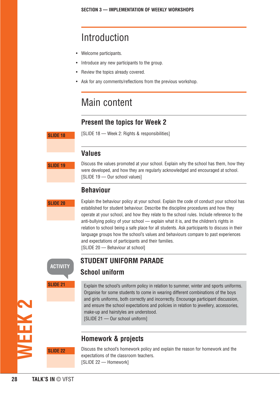# Introduction

- Welcome participants.
- Introduce any new participants to the group.
- Review the topics already covered.
- Ask for any comments/reflections from the previous workshop.

# Main content

#### **Present the topics for Week 2**

**SLIDE 18**

[SLIDE 18 — Week 2: Rights & responsibilities]

#### **Values**

**SLIDE 19**

Discuss the values promoted at your school. Explain why the school has them, how they were developed, and how they are regularly acknowledged and encouraged at school. [SLIDE 19 - Our school values]

#### **Behaviour**

#### **SLIDE 20**

Explain the behaviour policy at your school. Explain the code of conduct your school has established for student behaviour. Describe the discipline procedures and how they operate at your school, and how they relate to the school rules. Include reference to the anti-bullying policy of your school — explain what it is, and the children's rights in relation to school being a safe place for all students. Ask participants to discuss in their language groups how the school's values and behaviours compare to past experiences and expectations of participants and their families. [SLIDE 20 — Behaviour at school]

**ACTIVITY**

**SLIDE 21**

# **STUDENT UNIFORM PARADE**

**School uniform** 

Explain the school's uniform policy in relation to summer, winter and sports uniforms. Organise for some students to come in wearing different combinations of the boys and girls uniforms, both correctly and incorrectly. Encourage participant discussion, and ensure the school expectations and policies in relation to jewellery, accessories, make-up and hairstyles are understood.

[SLIDE 21 - Our school uniform]

#### **Homework & projects**

Discuss the school's homework policy and explain the reason for homework and the expectations of the classroom teachers. [SLIDE 22 - Homework]

**WEEK 2**

**SLIDE 22**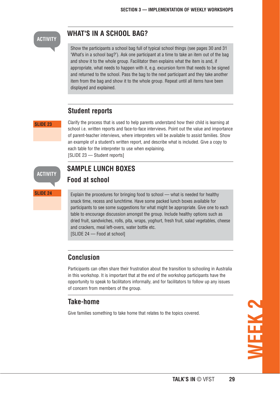#### **ACTIVITY**

#### **WHAT'S IN A SCHOOL BAG?**

Show the participants a school bag full of typical school things (see pages 30 and 31 'What's in a school bag?'). Ask one participant at a time to take an item out of the bag and show it to the whole group. Facilitator then explains what the item is and, if appropriate, what needs to happen with it, e.g. excursion form that needs to be signed and returned to the school. Pass the bag to the next participant and they take another item from the bag and show it to the whole group. Repeat until all items have been displayed and explained.

#### **Student reports**

#### **SLIDE 23**

Clarify the process that is used to help parents understand how their child is learning at school i.e. written reports and face-to-face interviews. Point out the value and importance of parent-teacher interviews, where interpreters will be available to assist families. Show an example of a student's written report, and describe what is included. Give a copy to each table for the interpreter to use when explaining. [SLIDE 23 - Student reports]

#### **SAMPLE LUNCH BOXES Food at school**

**SLIDE 24**

**ACTIVITY**

Explain the procedures for bringing food to school — what is needed for healthy snack time, recess and lunchtime. Have some packed lunch boxes available for participants to see some suggestions for what might be appropriate. Give one to each table to encourage discussion amongst the group. Include healthy options such as dried fruit, sandwiches, rolls, pita, wraps, yoghurt, fresh fruit, salad vegetables, cheese and crackers, meal left-overs, water bottle etc.

[SLIDE 24 – Food at school]

#### **Conclusion**

Participants can often share their frustration about the transition to schooling in Australia in this workshop. It is important that at the end of the workshop participants have the opportunity to speak to facilitators informally, and for facilitators to follow up any issues of concern from members of the group.

#### **Take-home**

Give families something to take home that relates to the topics covered.

**WEEK 2**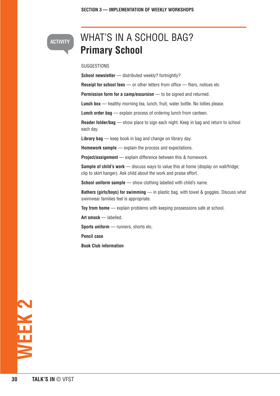# WHAT'S IN A SCHOOL BAG? **Primary School**

#### SUGGESTIONS

**ACTIVITY**

**School newsletter** — distributed weekly? fortnightly?

**Receipt for school fees** — or other letters from office — fliers, notices etc

**Permission form for a camp/excursion** — to be signed and returned.

**Lunch box** — healthy morning tea, lunch, fruit, water bottle. No lollies please.

**Lunch order bag** — explain process of ordering lunch from canteen.

**Reader folder/bag** — show place to sign each night. Keep in bag and return to school each day.

**Library bag** — keep book in bag and change on library day.

**Homework sample** — explain the process and expectations.

**Project/assignment** — explain difference between this & homework.

**Sample of child's work** — discuss ways to value this at home (display on wall/fridge; clip to skirt hanger). Ask child about the work and praise effort.

**School uniform sample** — show clothing labelled with child's name.

**Bathers (girls/boys) for swimming** — in plastic bag, with towel & goggles. Discuss what swimwear families feel is appropriate.

**Toy from home** — explain problems with keeping possessions safe at school.

**Art smock** — labelled.

**Sports uniform** — runners, shorts etc.

**Pencil case** 

**Book Club information**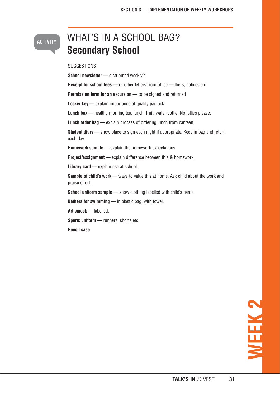#### **ACTIVITY**

# WHAT'S IN A SCHOOL BAG? **Secondary School**

#### SUGGESTIONS

**School newsletter** — distributed weekly? **Receipt for school fees** — or other letters from office — fliers, notices etc. **Permission form for an excursion** — to be signed and returned **Locker key** — explain importance of quality padlock. **Lunch box** — healthy morning tea, lunch, fruit, water bottle. No lollies please. **Lunch order bag** — explain process of ordering lunch from canteen. **Student diary** — show place to sign each night if appropriate. Keep in bag and return each day.

**Homework sample** — explain the homework expectations.

**Project/assignment** — explain difference between this & homework.

Library card — explain use at school.

**Sample of child's work** — ways to value this at home. Ask child about the work and praise effort.

**School uniform sample** — show clothing labelled with child's name.

**Bathers for swimming** — in plastic bag, with towel.

**Art smock** — labelled.

**Sports uniform** — runners, shorts etc.

**Pencil case**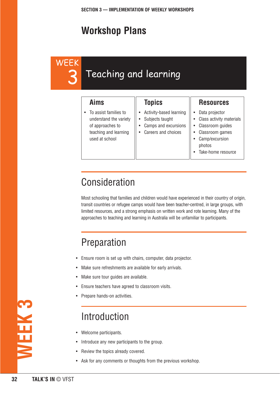# **Workshop Plans**

**WEEK** 3

# Teaching and learning

| Aims                                                                                                           | <b>Topics</b>                                                                                          | <b>Resources</b>                                                                                                                                 |
|----------------------------------------------------------------------------------------------------------------|--------------------------------------------------------------------------------------------------------|--------------------------------------------------------------------------------------------------------------------------------------------------|
| To assist families to<br>understand the variety<br>of approaches to<br>teaching and learning<br>used at school | Activity-based learning<br>Subjects taught<br>$\bullet$<br>Camps and excursions<br>Careers and choices | Data projector<br>Class activity materials<br>Classroom guides<br>Classroom games<br>Camp/excursion<br>$\bullet$<br>photos<br>Take-home resource |

# Consideration

Most schooling that families and children would have experienced in their country of origin, transit countries or refugee camps would have been teacher-centred, in large groups, with limited resources, and a strong emphasis on written work and rote learning. Many of the approaches to teaching and learning in Australia will be unfamiliar to participants.

# Preparation

- Ensure room is set up with chairs, computer, data projector.
- Make sure refreshments are available for early arrivals.
- Make sure tour guides are available.
- Ensure teachers have agreed to classroom visits.
- Prepare hands-on activities.

# Introduction

- Welcome participants.
- Introduce any new participants to the group.
- Review the topics already covered.
- Ask for any comments or thoughts from the previous workshop.

**WEEK 3**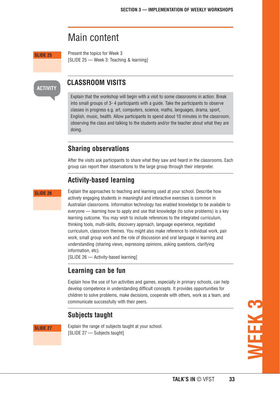### Main content

**SLIDE 25**

Present the topics for Week 3 [SLIDE 25 — Week 3: Teaching & learning]

#### **ACTIVITY**

#### **CLASSROOM VISITS**

Explain that the workshop will begin with a visit to some classrooms in action. Break into small groups of 3- 4 participants with a guide. Take the participants to observe classes in progress e.g. art, computers, science, maths, languages, drama, sport, English, music, health. Allow participants to spend about 10 minutes in the classroom, observing the class and talking to the students and/or the teacher about what they are doing.

#### **Sharing observations**

After the visits ask participants to share what they saw and heard in the classrooms. Each group can report their observations to the large group through their interpreter.

#### **Activity-based learning**

#### **SLIDE 26**

Explain the approaches to teaching and learning used at your school. Describe how actively engaging students in meaningful and interactive exercises is common in Australian classrooms. Information technology has enabled knowledge to be available to everyone — learning how to apply and use that knowledge (to solve problems) is a key learning outcome. You may wish to include references to the integrated curriculum, thinking tools, multi-skills, discovery approach, language experience, negotiated curriculum, classroom themes. You might also make reference to individual work, pair work, small group work and the role of discussion and oral language in learning and understanding (sharing views, expressing opinions, asking questions, clarifying information, etc).

[SLIDE 26 – Activity-based learning]

#### **Learning can be fun**

Explain how the use of fun activities and games, especially in primary schools, can help develop competence in understanding difficult concepts. It provides opportunities for children to solve problems, make decisions, cooperate with others, work as a team, and communicate successfully with their peers.

#### **Subjects taught**

**SLIDE 27**

Explain the range of subjects taught at your school. [SLIDE 27 - Subjects taught]

**WEEK 3**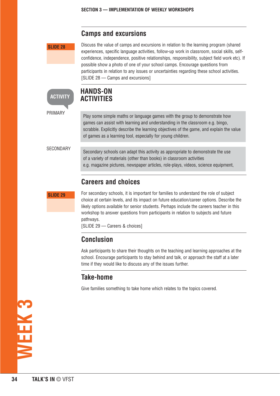#### **Camps and excursions**

**SLIDE 28**

Discuss the value of camps and excursions in relation to the learning program (shared experiences, specific language activities, follow-up work in classroom, social skills, selfconfidence, independence, positive relationships, responsibility, subject field work etc). If possible show a photo of one of your school camps. Encourage questions from participants in relation to any issues or uncertainties regarding these school activities. [SLIDE 28 — Camps and excursions]

#### **HANDS-ON ACTIVITIES**

PRIMARY

**ACTIVITY**

Play some simple maths or language games with the group to demonstrate how games can assist with learning and understanding in the classroom e.g. bingo, scrabble. Explicitly describe the learning objectives of the game, and explain the value of games as a learning tool, especially for young children.

**SECONDARY** 

Secondary schools can adapt this activity as appropriate to demonstrate the use of a variety of materials (other than books) in classroom activities e.g. magazine pictures, newspaper articles, role-plays, videos, science equipment,

#### **Careers and choices**

**SLIDE 29**

For secondary schools, it is important for families to understand the role of subject choice at certain levels, and its impact on future education/career options. Describe the likely options available for senior students. Perhaps include the careers teacher in this workshop to answer questions from participants in relation to subjects and future pathways.

[SLIDE 29 — Careers & choices]

#### **Conclusion**

Ask participants to share their thoughts on the teaching and learning approaches at the school. Encourage participants to stay behind and talk, or approach the staff at a later time if they would like to discuss any of the issues further.

#### **Take-home**

Give families something to take home which relates to the topics covered.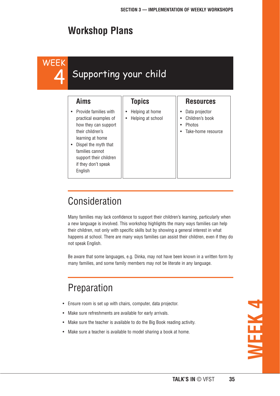# **Workshop Plans**

# WEEK 4

# Supporting your child

#### **Aims**

- Provide families with practical examples of how they can support their children's learning at home
- Dispel the myth that families cannot support their children if they don't speak English

#### **Topics**

- Helping at home
- Helping at school

# **Resources**

- Data projector
- Children's book
- Photos
- Take-home resource

# Consideration

Many families may lack confidence to support their children's learning, particularly when a new language is involved. This workshop highlights the many ways families can help their children, not only with specific skills but by showing a general interest in what happens at school. There are many ways families can assist their children, even if they do not speak English.

Be aware that some languages, e.g. Dinka, may not have been known in a written form by many families, and some family members may not be literate in any language.

# Preparation

- Ensure room is set up with chairs, computer, data projector.
- Make sure refreshments are available for early arrivals.
- Make sure the teacher is available to do the Big Book reading activity.
- Make sure a teacher is available to model sharing a book at home.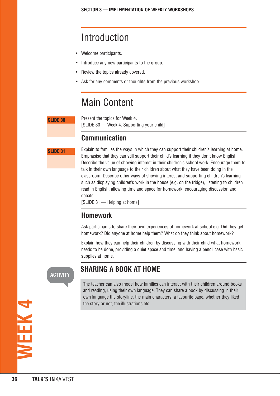# Introduction

- Welcome participants.
- Introduce any new participants to the group.
- Review the topics already covered.
- Ask for any comments or thoughts from the previous workshop.

# Main Content

#### **SLIDE 30**

Present the topics for Week 4. [SLIDE 30 – Week 4: Supporting your child]

#### **Communication**

**SLIDE 31**

Explain to families the ways in which they can support their children's learning at home. Emphasise that they can still support their child's learning if they don't know English. Describe the value of showing interest in their children's school work. Encourage them to talk in their own language to their children about what they have been doing in the classroom. Describe other ways of showing interest and supporting children's learning such as displaying children's work in the house (e.g. on the fridge), listening to children read in English, allowing time and space for homework, encouraging discussion and debate.

[SLIDE 31 - Helping at home]

#### **Homework**

Ask participants to share their own experiences of homework at school e.g. Did they get homework? Did anyone at home help them? What do they think about homework?

Explain how they can help their children by discussing with their child what homework needs to be done, providing a quiet space and time, and having a pencil case with basic supplies at home.

#### **ACTIVITY**

#### **SHARING A BOOK AT HOME**

The teacher can also model how families can interact with their children around books and reading, using their own language. They can share a book by discussing in their own language the storyline, the main characters, a favourite page, whether they liked the story or not, the illustrations etc.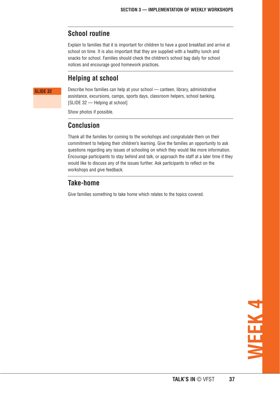#### **School routine**

Explain to families that it is important for children to have a good breakfast and arrive at school on time. It is also important that they are supplied with a healthy lunch and snacks for school. Families should check the children's school bag daily for school notices and encourage good homework practices.

#### **Helping at school**

#### **SLIDE 32**

Describe how families can help at your school — canteen, library, administrative assistance, excursions, camps, sports days, classroom helpers, school banking. [SLIDE 32 — Helping at school]

Show photos if possible.

#### **Conclusion**

Thank all the families for coming to the workshops and congratulate them on their commitment to helping their children's learning. Give the families an opportunity to ask questions regarding any issues of schooling on which they would like more information. Encourage participants to stay behind and talk, or approach the staff at a later time if they would like to discuss any of the issues further. Ask participants to reflect on the workshops and give feedback.

#### **Take-home**

Give families something to take home which relates to the topics covered.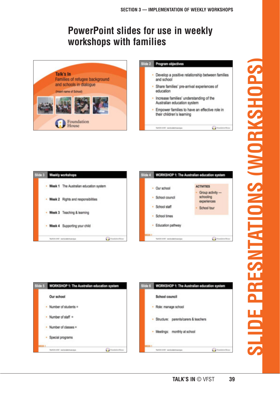# **PowerPoint slides for use in weekly workshops with families**









# **SLIDE PRESNITATIONS (WORKSHOPS) SLIDE PRESNTATIONS (WORKSHOPS)**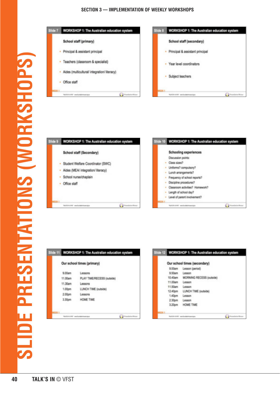

| ide 9       | WORKSHOP 1: The Australian education system                                                                      |        | Slide 10 WORKSHOP 1: The Australian education system                                                                                                                                                               |                   |
|-------------|------------------------------------------------------------------------------------------------------------------|--------|--------------------------------------------------------------------------------------------------------------------------------------------------------------------------------------------------------------------|-------------------|
|             | School staff (Secondary)                                                                                         |        | <b>Schooling experiences</b><br>Discussion points:                                                                                                                                                                 |                   |
|             | Student Welfare Coordinator (SWC)<br>Aides (MEA/ integration/ literacy)<br>School nurse/chaplain<br>Office staff | ٠<br>٠ | Class sizes?<br>Uniforms? compulsory?<br>Lunch arrangements?<br>Frequency of school reports?<br>Discipline procedures?<br>Classroom activities? Homework?<br>Length of school day?<br>Level of parent involvement? |                   |
| <b>ALLE</b> | [1] Nonadation Boyer<br>WATER EVER was invitativity as again                                                     |        | TAXTER EVER was horizonten regar-                                                                                                                                                                                  | <b>Cal Number</b> |

|                   | Our school times (primary) |
|-------------------|----------------------------|
| 9.00am            | Lessons                    |
| 11.00am           | PLAY TIME/RECESS (outside) |
| 11.30am           | Lessons                    |
| 1.00 <sub>0</sub> | LUNCH TIME (putside)       |
| 2.00pm            | Lessons                    |
| 3.30pm            | <b>HOME TIME</b>           |

|                    | Our school times (secondary) |  |
|--------------------|------------------------------|--|
| 9.00am             | Lesson (period)              |  |
| 9.50am             | Lesson                       |  |
| 10.40am            | MORNING RECESS (outside)     |  |
| 11.00am            | Lesson                       |  |
| 11.50am            | Lesson                       |  |
| 12.40pm            | LUNCH TIME (outside)         |  |
| 1.40pm             | Lesson                       |  |
| 2.30 <sub>pm</sub> | Lesson                       |  |
| 3.20pm             | HOME TIME                    |  |

Fondation Boys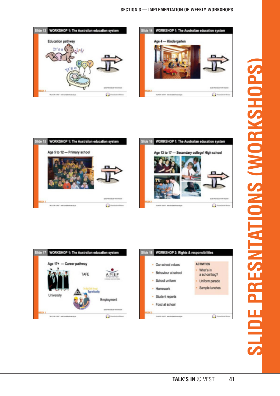









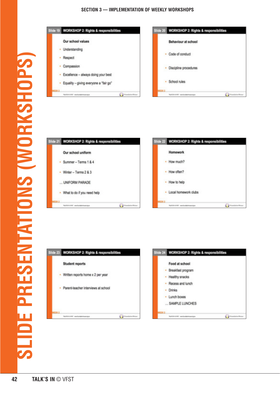





LIDE PRESENTATIONS (WORKSHOPS)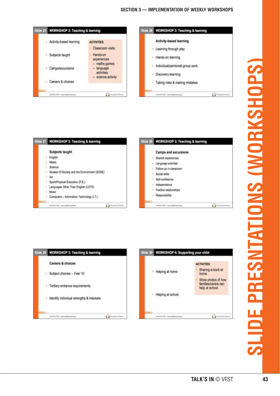







# **SLIDE PRESNITATIONS (WORKSHOPS)**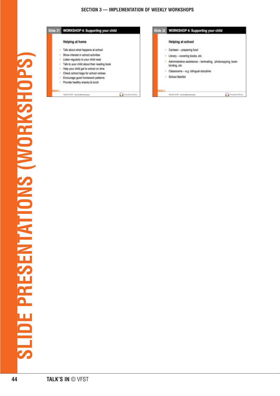| Slide 31 WORKSHOP 4: Supporting your child                                                                                                                                                                                                                                                                           |                      |              | Slide 32 WORKSHOP 4: Supporting your child                                                                                                                                                                    |  |
|----------------------------------------------------------------------------------------------------------------------------------------------------------------------------------------------------------------------------------------------------------------------------------------------------------------------|----------------------|--------------|---------------------------------------------------------------------------------------------------------------------------------------------------------------------------------------------------------------|--|
| Helping at home                                                                                                                                                                                                                                                                                                      |                      |              | Helping at school                                                                                                                                                                                             |  |
| Talk about what happens at school<br>Show interest in school activities<br>Listen regularly to your child read<br>Talk to your child about their reading book<br>Help your child get to school on time<br>Check school bags for school notices<br>Encourage good homework patterns<br>Provide healthy snacks & lunch |                      | ٠            | · Canteen - preparing food<br>· Library - covering books, etc.<br>Administrative assistance - laminating, photocopying, book-<br>binding, etc.<br>· Classrooms - e.g. bilingual storytime<br>School fete/fair |  |
| TAXTER EVER was furnished coming as                                                                                                                                                                                                                                                                                  | [ ] Foundation Boyer | <b>Til H</b> | WATER EVER was invitative course as                                                                                                                                                                           |  |